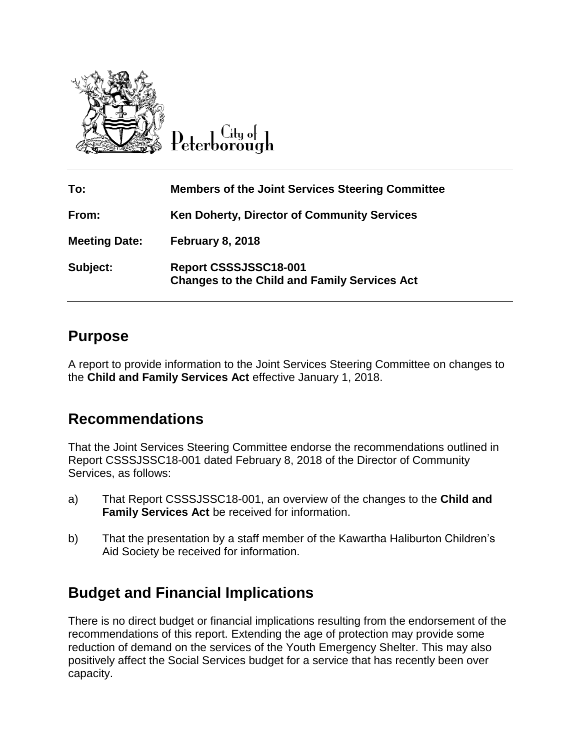

City of

| To:                  | <b>Members of the Joint Services Steering Committee</b>                      |
|----------------------|------------------------------------------------------------------------------|
| From:                | <b>Ken Doherty, Director of Community Services</b>                           |
| <b>Meeting Date:</b> | February 8, 2018                                                             |
| Subject:             | Report CSSSJSSC18-001<br><b>Changes to the Child and Family Services Act</b> |

### **Purpose**

A report to provide information to the Joint Services Steering Committee on changes to the **Child and Family Services Act** effective January 1, 2018.

## **Recommendations**

That the Joint Services Steering Committee endorse the recommendations outlined in Report CSSSJSSC18-001 dated February 8, 2018 of the Director of Community Services, as follows:

- a) That Report CSSSJSSC18-001, an overview of the changes to the **Child and Family Services Act** be received for information.
- b) That the presentation by a staff member of the Kawartha Haliburton Children's Aid Society be received for information.

# **Budget and Financial Implications**

There is no direct budget or financial implications resulting from the endorsement of the recommendations of this report. Extending the age of protection may provide some reduction of demand on the services of the Youth Emergency Shelter. This may also positively affect the Social Services budget for a service that has recently been over capacity.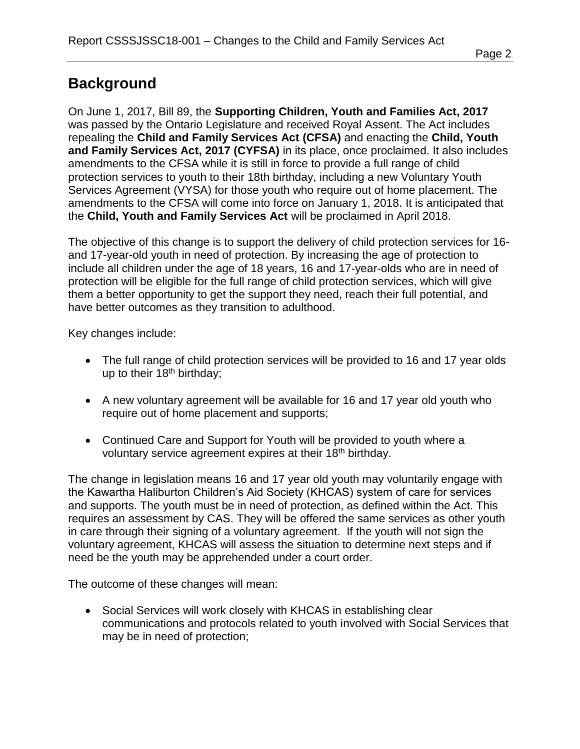## **Background**

On June 1, 2017, Bill 89, the **Supporting Children, Youth and Families Act, 2017**  was passed by the Ontario Legislature and received Royal Assent. The Act includes repealing the **Child and Family Services Act (CFSA)** and enacting the **Child, Youth and Family Services Act, 2017 (CYFSA)** in its place, once proclaimed. It also includes amendments to the CFSA while it is still in force to provide a full range of child protection services to youth to their 18th birthday, including a new Voluntary Youth Services Agreement (VYSA) for those youth who require out of home placement. The amendments to the CFSA will come into force on January 1, 2018. It is anticipated that the **Child, Youth and Family Services Act** will be proclaimed in April 2018.

The objective of this change is to support the delivery of child protection services for 16 and 17-year-old youth in need of protection. By increasing the age of protection to include all children under the age of 18 years, 16 and 17-year-olds who are in need of protection will be eligible for the full range of child protection services, which will give them a better opportunity to get the support they need, reach their full potential, and have better outcomes as they transition to adulthood.

Key changes include:

- The full range of child protection services will be provided to 16 and 17 year olds up to their  $18<sup>th</sup>$  birthday;
- A new voluntary agreement will be available for 16 and 17 year old youth who require out of home placement and supports;
- Continued Care and Support for Youth will be provided to youth where a voluntary service agreement expires at their 18<sup>th</sup> birthday.

The change in legislation means 16 and 17 year old youth may voluntarily engage with the Kawartha Haliburton Children's Aid Society (KHCAS) system of care for services and supports. The youth must be in need of protection, as defined within the Act. This requires an assessment by CAS. They will be offered the same services as other youth in care through their signing of a voluntary agreement. If the youth will not sign the voluntary agreement, KHCAS will assess the situation to determine next steps and if need be the youth may be apprehended under a court order.

The outcome of these changes will mean:

• Social Services will work closely with KHCAS in establishing clear communications and protocols related to youth involved with Social Services that may be in need of protection;